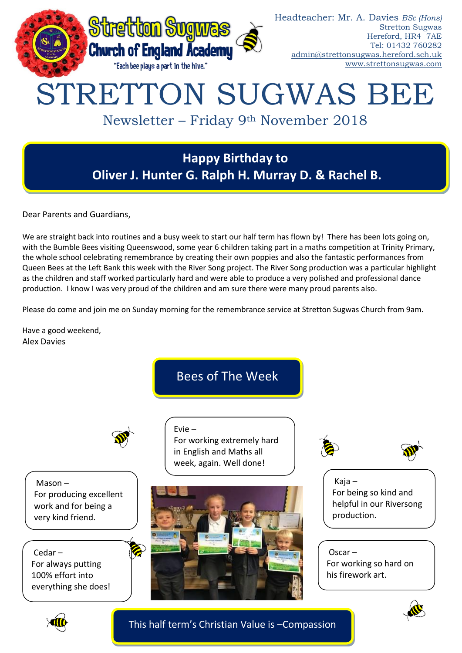

## **Happy Birthday to Oliver J. Hunter G. Ralph H. Murray D. & Rachel B.**

Dear Parents and Guardians,

We are straight back into routines and a busy week to start our half term has flown by! There has been lots going on, with the Bumble Bees visiting Queenswood, some year 6 children taking part in a maths competition at Trinity Primary, the whole school celebrating remembrance by creating their own poppies and also the fantastic performances from Queen Bees at the Left Bank this week with the River Song project. The River Song production was a particular highlight as the children and staff worked particularly hard and were able to produce a very polished and professional dance production. I know I was very proud of the children and am sure there were many proud parents also.

Please do come and join me on Sunday morning for the remembrance service at Stretton Sugwas Church from 9am.

Have a good weekend, Alex Davies

Bees of The Week

For working extremely hard in English and Maths all week, again. Well done!

Evie –



Mason – For producing excellent work and for being a very kind friend.

Cedar – For always putting 100% effort into everything she does!





Kaja – For being so kind and helpful in our Riversong production.

Oscar – For working so hard on his firework art.





This half term's Christian Value is –Compassion